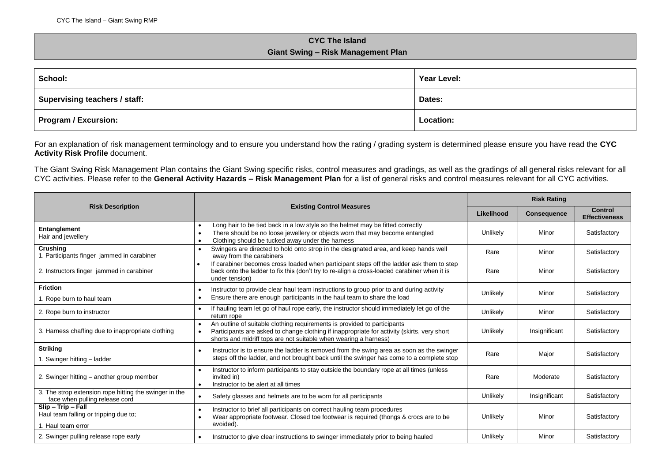## **CYC The Island Giant Swing – Risk Management Plan**

| School:                       | Year Level:      |  |
|-------------------------------|------------------|--|
| Supervising teachers / staff: | Dates:           |  |
| <b>Program / Excursion:</b>   | <b>Location:</b> |  |

For an explanation of risk management terminology and to ensure you understand how the rating / grading system is determined please ensure you have read the **CYC Activity Risk Profile** document.

The Giant Swing Risk Management Plan contains the Giant Swing specific risks, control measures and gradings, as well as the gradings of all general risks relevant for all CYC activities. Please refer to the **General Activity Hazards – Risk Management Plan** for a list of general risks and control measures relevant for all CYC activities.

|                                                                                                                                                                                                                                                                                                  |                                                                                                                                                                                                                        | <b>Risk Rating</b> |                    |                                        |
|--------------------------------------------------------------------------------------------------------------------------------------------------------------------------------------------------------------------------------------------------------------------------------------------------|------------------------------------------------------------------------------------------------------------------------------------------------------------------------------------------------------------------------|--------------------|--------------------|----------------------------------------|
| <b>Risk Description</b>                                                                                                                                                                                                                                                                          | <b>Existing Control Measures</b>                                                                                                                                                                                       | Likelihood         | <b>Consequence</b> | <b>Control</b><br><b>Effectiveness</b> |
| Entanglement<br>Hair and jewellery                                                                                                                                                                                                                                                               | Long hair to be tied back in a low style so the helmet may be fitted correctly<br>There should be no loose jewellery or objects worn that may become entangled<br>Clothing should be tucked away under the harness     | Unlikely           | Minor              | Satisfactory                           |
| Crushing<br>1. Participants finger jammed in carabiner                                                                                                                                                                                                                                           | Swingers are directed to hold onto strop in the designated area, and keep hands well<br>away from the carabiners                                                                                                       | Rare               | Minor              | Satisfactory                           |
| 2. Instructors finger jammed in carabiner                                                                                                                                                                                                                                                        | If carabiner becomes cross loaded when participant steps off the ladder ask them to step<br>$\bullet$<br>back onto the ladder to fix this (don't try to re-align a cross-loaded carabiner when it is<br>under tension) | Rare               | Minor              | Satisfactory                           |
| <b>Friction</b><br>1. Rope burn to haul team                                                                                                                                                                                                                                                     | Instructor to provide clear haul team instructions to group prior to and during activity<br>Ensure there are enough participants in the haul team to share the load                                                    | Unlikely           | Minor              | Satisfactory                           |
| 2. Rope burn to instructor                                                                                                                                                                                                                                                                       | If hauling team let go of haul rope early, the instructor should immediately let go of the<br>return rope                                                                                                              | Unlikely           | Minor              | Satisfactory                           |
| An outline of suitable clothing requirements is provided to participants<br>3. Harness chaffing due to inappropriate clothing<br>Participants are asked to change clothing if inappropriate for activity (skirts, very short<br>shorts and midriff tops are not suitable when wearing a harness) |                                                                                                                                                                                                                        | Unlikely           | Insignificant      | Satisfactory                           |
| <b>Striking</b><br>1. Swinger hitting - ladder                                                                                                                                                                                                                                                   | Instructor is to ensure the ladder is removed from the swing area as soon as the swinger<br>steps off the ladder, and not brought back until the swinger has come to a complete stop                                   | Rare               | Major              | Satisfactory                           |
| 2. Swinger hitting - another group member                                                                                                                                                                                                                                                        | Instructor to inform participants to stay outside the boundary rope at all times (unless<br>invited in)<br>Instructor to be alert at all times<br>$\bullet$                                                            | Rare               | Moderate           | Satisfactory                           |
| 3. The strop extension rope hitting the swinger in the<br>face when pulling release cord                                                                                                                                                                                                         | Safety glasses and helmets are to be worn for all participants                                                                                                                                                         | Unlikely           | Insignificant      | Satisfactory                           |
| Slip - Trip - Fall<br>Haul team falling or tripping due to;<br>1. Haul team error                                                                                                                                                                                                                | Instructor to brief all participants on correct hauling team procedures<br>Wear appropriate footwear. Closed toe footwear is required (thongs & crocs are to be<br>avoided).                                           |                    | Minor              | Satisfactory                           |
| 2. Swinger pulling release rope early                                                                                                                                                                                                                                                            | Instructor to give clear instructions to swinger immediately prior to being hauled                                                                                                                                     | Unlikelv           | Minor              | Satisfactory                           |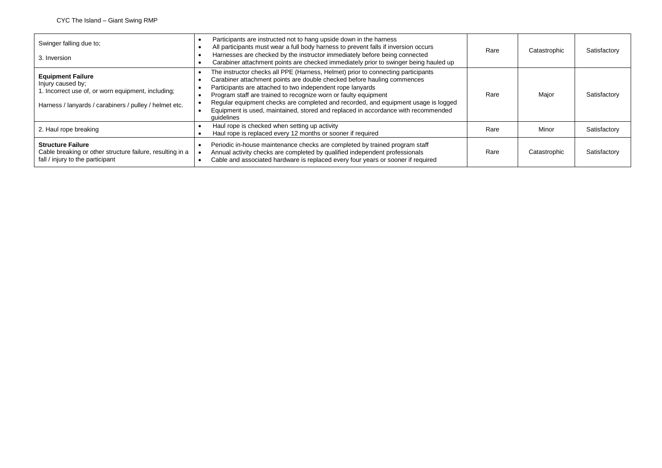| Swinger falling due to;<br>3. Inversion                                                                                                                       | Participants are instructed not to hang upside down in the harness<br>All participants must wear a full body harness to prevent falls if inversion occurs<br>Harnesses are checked by the instructor immediately before being connected<br>Carabiner attachment points are checked immediately prior to swinger being hauled up                                                                                                                                                       | Rare | Catastrophic | Satisfactory |
|---------------------------------------------------------------------------------------------------------------------------------------------------------------|---------------------------------------------------------------------------------------------------------------------------------------------------------------------------------------------------------------------------------------------------------------------------------------------------------------------------------------------------------------------------------------------------------------------------------------------------------------------------------------|------|--------------|--------------|
| <b>Equipment Failure</b><br>Injury caused by;<br>1. Incorrect use of, or worn equipment, including;<br>Harness / lanyards / carabiners / pulley / helmet etc. | The instructor checks all PPE (Harness, Helmet) prior to connecting participants<br>Carabiner attachment points are double checked before hauling commences<br>Participants are attached to two independent rope lanyards<br>Program staff are trained to recognize worn or faulty equipment<br>Regular equipment checks are completed and recorded, and equipment usage is logged<br>Equipment is used, maintained, stored and replaced in accordance with recommended<br>quidelines | Rare | Major        | Satisfactory |
| 2. Haul rope breaking                                                                                                                                         | Haul rope is checked when setting up activity<br>Haul rope is replaced every 12 months or sooner if required                                                                                                                                                                                                                                                                                                                                                                          | Rare | Minor        | Satisfactory |
| <b>Structure Failure</b><br>Cable breaking or other structure failure, resulting in a<br>fall / injury to the participant                                     | Periodic in-house maintenance checks are completed by trained program staff<br>Annual activity checks are completed by qualified independent professionals<br>Cable and associated hardware is replaced every four years or sooner if required                                                                                                                                                                                                                                        | Rare | Catastrophic | Satisfactory |